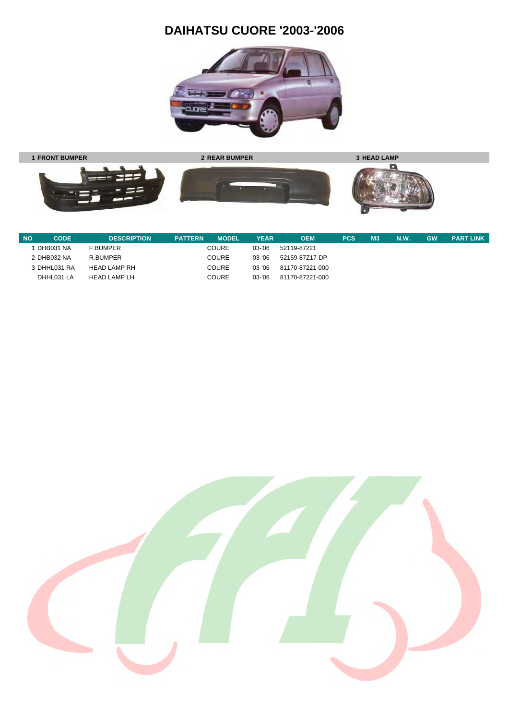# **DAIHATSU CUORE '2003-'2006**





| <b>NO</b> | CODE         | <b>DESCRIPTION</b> | <b>PATTERN</b> | <b>MODEL</b> | <b>YEAR</b> | <b>OEM</b>      | <b>PCS</b> | M <sub>3</sub> | <b>N.W.</b> | <b>GW</b> | <b>PART LINK</b> |
|-----------|--------------|--------------------|----------------|--------------|-------------|-----------------|------------|----------------|-------------|-----------|------------------|
|           | DHB031 NA    | <b>F.BUMPER</b>    |                | <b>COURE</b> | $'03-'06$   | 52119-87221     |            |                |             |           |                  |
|           | 2 DHB032 NA  | R.BUMPER           |                | <b>COURE</b> | $'03-'06$   | 52159-87Z17-DP  |            |                |             |           |                  |
|           | 3 DHHL031 RA | HEAD LAMP RH       |                | <b>COURE</b> | $'03-'06$   | 81170-87221-000 |            |                |             |           |                  |
|           | DHHL031 LA   | HEAD LAMP LH       |                | <b>COURE</b> | $'03-'06$   | 81170-87221-000 |            |                |             |           |                  |

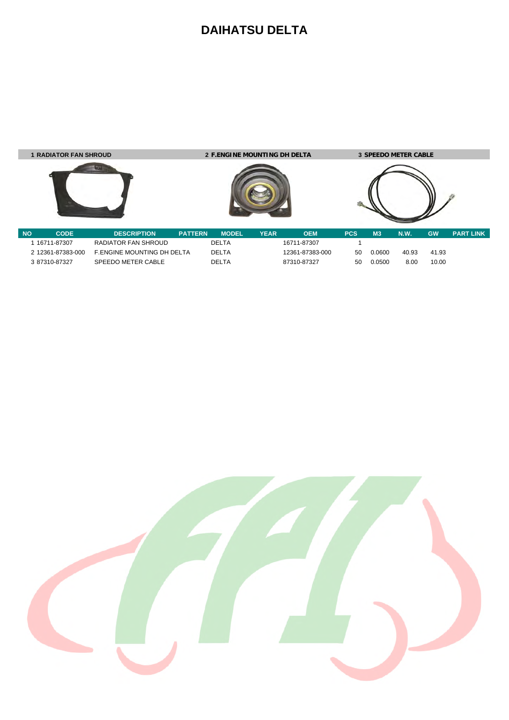#### **DAIHATSU DELTA**



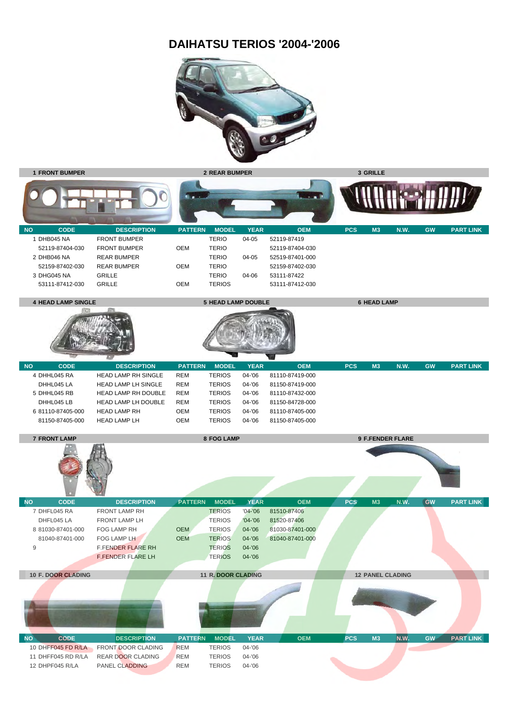#### **DAIHATSU TERIOS '2004-'2006**



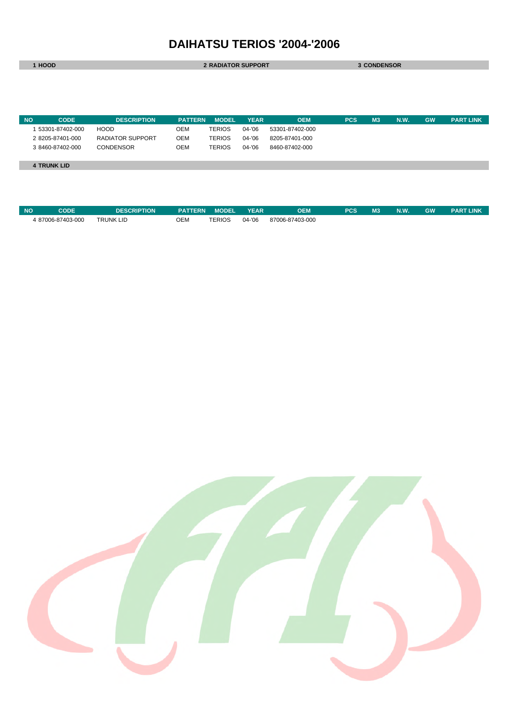## **DAIHATSU TERIOS '2004-'2006**

| 1 HOOD                   |                         | <b>2 RADIATOR SUPPORT</b> |               |             |                 | <b>3 CONDENSOR</b> |                |             |           |                  |
|--------------------------|-------------------------|---------------------------|---------------|-------------|-----------------|--------------------|----------------|-------------|-----------|------------------|
|                          |                         |                           |               |             |                 |                    |                |             |           |                  |
|                          |                         |                           |               |             |                 |                    |                |             |           |                  |
|                          |                         |                           |               |             |                 |                    |                |             |           |                  |
|                          |                         |                           |               |             |                 |                    |                |             |           |                  |
| <b>NO</b><br><b>CODE</b> | <b>DESCRIPTION</b>      | <b>PATTERN</b>            | <b>MODEL</b>  | <b>YEAR</b> | <b>OEM</b>      | <b>PCS</b>         | M <sub>3</sub> | <b>N.W.</b> | <b>GW</b> | <b>PART LINK</b> |
| 53301-87402-000          | <b>HOOD</b>             | <b>OEM</b>                | <b>TERIOS</b> | 04-'06      | 53301-87402-000 |                    |                |             |           |                  |
| 2 8205-87401-000         | <b>RADIATOR SUPPORT</b> | <b>OEM</b>                | <b>TERIOS</b> | 04-'06      | 8205-87401-000  |                    |                |             |           |                  |
| 3 8460-87402-000         | <b>CONDENSOR</b>        | <b>OEM</b>                | <b>TERIOS</b> | 04-'06      | 8460-87402-000  |                    |                |             |           |                  |
|                          |                         |                           |               |             |                 |                    |                |             |           |                  |
|                          |                         |                           |               |             |                 |                    |                |             |           |                  |

| <b>NO</b> | CODE              | <b>DESCRIPTION</b> | <b>PATTERN</b> | <b>MODEL</b>  | <b>YEAR</b> | <b>DEM</b>      | <b>PCS</b> | M <sub>3</sub> | N.W | <b>GW</b> | <b>PART LINK</b> |
|-----------|-------------------|--------------------|----------------|---------------|-------------|-----------------|------------|----------------|-----|-----------|------------------|
|           | 4 87006-87403-000 | <b>TRUNK LID</b>   | ОЕМ            | <b>TERIOS</b> | 04-'06      | 87006-87403-000 |            |                |     |           |                  |

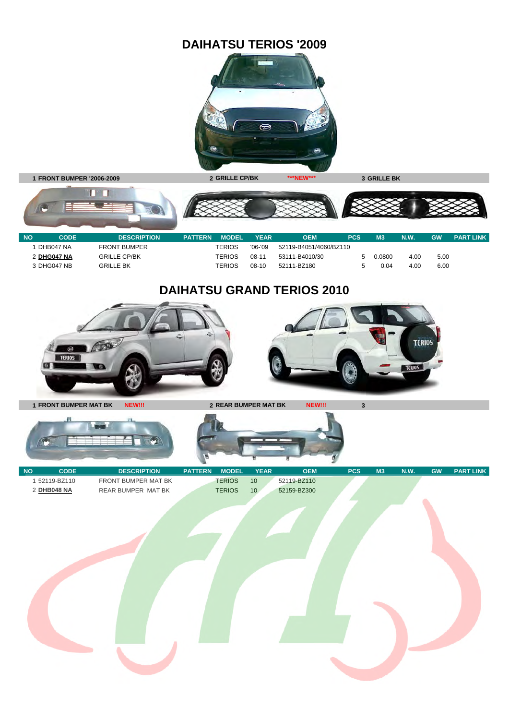## **DAIHATSU TERIOS '2009**



**1 FRONT BUMPER '2006-2009 2 GRILLE CP/BK \*\*\*NEW\*\*\* 3 GRILLE BK**

100

TETT



| <b>NO</b> | <b>CODE</b> | <b>DESCRIPTION</b>  | <b>PATTERN</b> | <b>MODEL</b> | YEAR      | <b>OEM</b>             | <b>PCS</b> | M <sub>3</sub> | <b>N.W.</b> | <b>GW</b> | <b>PART LINK</b> |
|-----------|-------------|---------------------|----------------|--------------|-----------|------------------------|------------|----------------|-------------|-----------|------------------|
|           | DHB047 NA   | <b>FRONT BUMPER</b> |                | TERIOS       | $'06-'09$ | 52119-B4051/4060/BZ110 |            |                |             |           |                  |
|           | 2 DHG047 NA | <b>GRILLE CP/BK</b> |                | TERIOS       | $08-11$   | 53111-B4010/30         |            | 0.0800         | 4.00        | 5.00      |                  |
|           | 3 DHG047 NB | GRILLE BK           |                | TERIOS       | $08-10$   | 52111-BZ180            |            | 0.04           | 4.00        | 6.00      |                  |
|           |             |                     |                |              |           |                        |            |                |             |           |                  |

# **DAIHATSU GRAND TERIOS 2010**